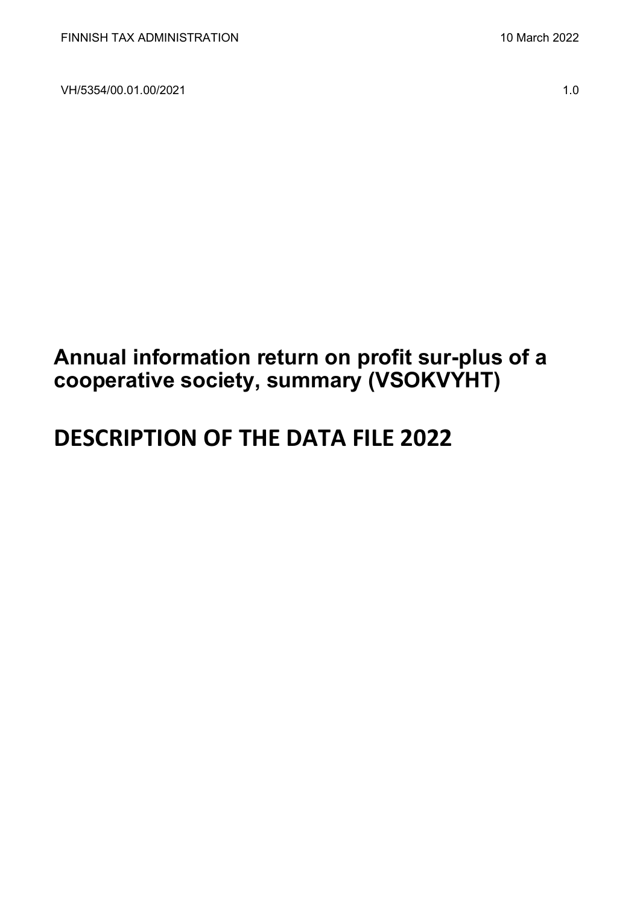VH/5354/00.01.00/2021 1.0

## **Annual information return on profit sur-plus of a cooperative society, summary (VSOKVYHT)**

# **DESCRIPTION OF THE DATA FILE 2022**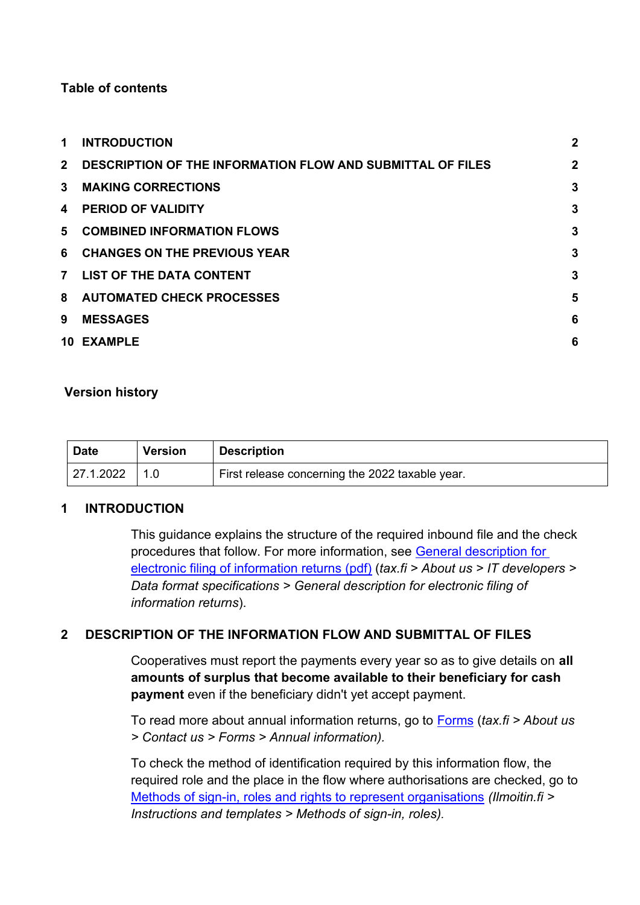#### **Table of contents**

| 1              | <b>INTRODUCTION</b>                                               | $\overline{2}$ |
|----------------|-------------------------------------------------------------------|----------------|
| $2^{\circ}$    | <b>DESCRIPTION OF THE INFORMATION FLOW AND SUBMITTAL OF FILES</b> | $\overline{2}$ |
| $\mathbf{3}$   | <b>MAKING CORRECTIONS</b>                                         | 3              |
| 4              | <b>PERIOD OF VALIDITY</b>                                         | 3              |
|                | 5 COMBINED INFORMATION FLOWS                                      | 3              |
| 6              | <b>CHANGES ON THE PREVIOUS YEAR</b>                               | 3              |
| $\overline{7}$ | <b>LIST OF THE DATA CONTENT</b>                                   | 3              |
|                | 8 AUTOMATED CHECK PROCESSES                                       | 5              |
| 9              | <b>MESSAGES</b>                                                   | 6              |
|                | 10 EXAMPLE                                                        | 6              |

#### **Version history**

| <b>Date</b> | <b>Version</b> | <b>Description</b>                              |
|-------------|----------------|-------------------------------------------------|
| 127.1.2022  |                | First release concerning the 2022 taxable year. |

#### <span id="page-1-0"></span>**1 INTRODUCTION**

This guidance explains the structure of the required inbound file and the check procedures that follow. For more information, see [General description for](https://www.vero.fi/globalassets/tietoa-verohallinnosta/ohjelmistokehittajille/finnish-tax-administration_electronic-filing-of-information-returns-general-description.pdf)  [electronic filing of information returns \(pdf\)](https://www.vero.fi/globalassets/tietoa-verohallinnosta/ohjelmistokehittajille/finnish-tax-administration_electronic-filing-of-information-returns-general-description.pdf) (*tax.fi > About us > IT developers > Data format specifications > General description for electronic filing of information returns*).

#### <span id="page-1-1"></span>**2 DESCRIPTION OF THE INFORMATION FLOW AND SUBMITTAL OF FILES**

Cooperatives must report the payments every year so as to give details on **all amounts of surplus that become available to their beneficiary for cash payment** even if the beneficiary didn't yet accept payment.

To read more about annual information returns, go to [Forms](https://www.vero.fi/en/About-us/contact-us/forms/) (*tax.fi > About us > Contact us > Forms > Annual information).*

To check the method of identification required by this information flow, the required role and the place in the flow where authorisations are checked, go to [Methods of sign-in, roles and rights to represent organisations](https://www.ilmoitin.fi/webtamo/sivut/IlmoituslajiRoolit?kieli=en&tv=VSOKVYHT) *[\(Ilmoitin.fi >](https://www.ilmoitin.fi/webtamo/sivut/IlmoituslajiRoolit?tv=VSY02C)  [Instructions and templates > Methods of sign-in, roles\)](https://www.ilmoitin.fi/webtamo/sivut/IlmoituslajiRoolit?tv=VSY02C).*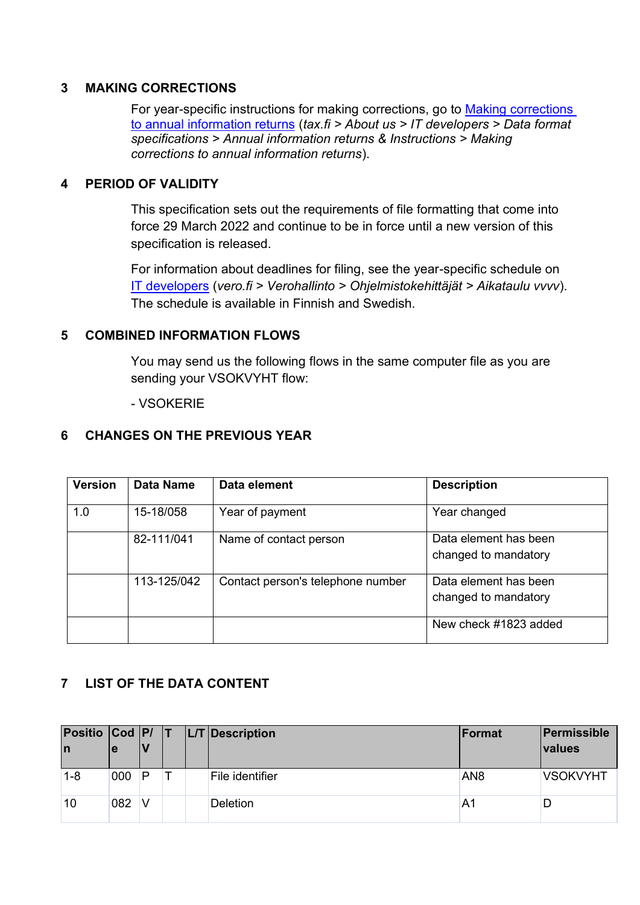#### <span id="page-2-0"></span>**3 MAKING CORRECTIONS**

For year-specific instructions for making corrections, go to [Making corrections](https://www.vero.fi/en/About-us/it_developer/data-format-specifications/annual_information_returns__instruction/making-corrections-to-annual-information-returns/)  [to annual information returns](https://www.vero.fi/en/About-us/it_developer/data-format-specifications/annual_information_returns__instruction/making-corrections-to-annual-information-returns/) (*tax.fi > About us > IT developers > Data format specifications > Annual information returns & Instructions > Making corrections to annual information returns*).

#### <span id="page-2-1"></span>**4 PERIOD OF VALIDITY**

This specification sets out the requirements of file formatting that come into force 29 March 2022 and continue to be in force until a new version of this specification is released.

For information about deadlines for filing, see the year-specific schedule on [IT developers](https://www.vero.fi/tietoa-verohallinnosta/kehittaja/) (*vero.fi > Verohallinto > Ohjelmistokehittäjät > Aikataulu vvvv*). The schedule is available in Finnish and Swedish.

#### <span id="page-2-2"></span>**5 COMBINED INFORMATION FLOWS**

You may send us the following flows in the same computer file as you are sending your VSOKVYHT flow:

- VSOKERIE

#### <span id="page-2-3"></span>**6 CHANGES ON THE PREVIOUS YEAR**

| <b>Version</b> | <b>Data Name</b> | Data element                      | <b>Description</b>                            |
|----------------|------------------|-----------------------------------|-----------------------------------------------|
| 1.0            | 15-18/058        | Year of payment                   | Year changed                                  |
|                | 82-111/041       | Name of contact person            | Data element has been<br>changed to mandatory |
|                | 113-125/042      | Contact person's telephone number | Data element has been<br>changed to mandatory |
|                |                  |                                   | New check #1823 added                         |

#### <span id="page-2-4"></span>**7 LIST OF THE DATA CONTENT**

| Positio Cod P/ T<br>In | ۱e  |   |  | $ L/T $ Description | Format          | Permissible<br>values |
|------------------------|-----|---|--|---------------------|-----------------|-----------------------|
| $1 - 8$                | 000 | P |  | File identifier     | AN <sub>8</sub> | <b>VSOKVYHT</b>       |
| 10                     | 082 | V |  | <b>Deletion</b>     | A1              |                       |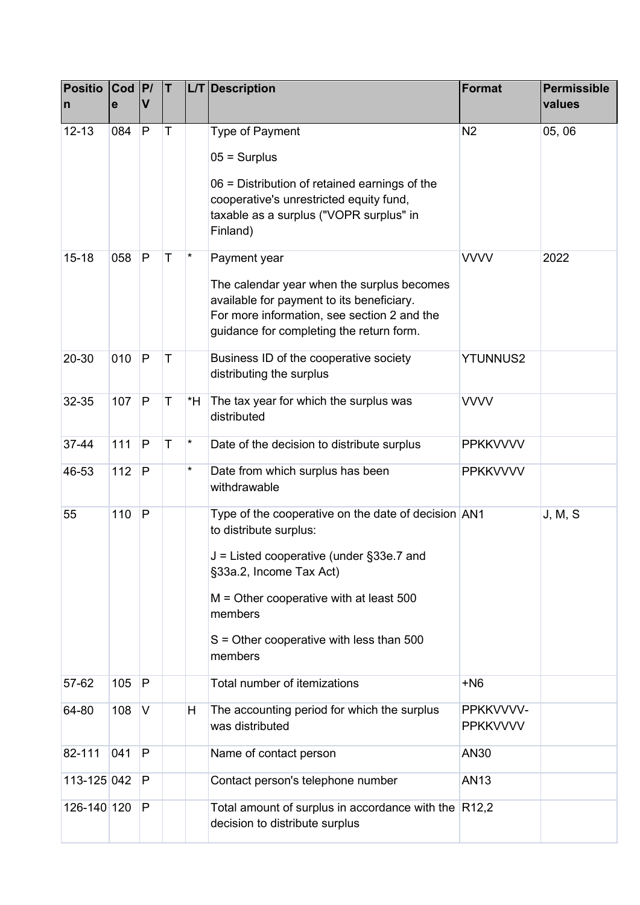| <b>Positio</b><br>n | Cod  P <br>e | V            | IT.         |          | L/T Description                                                                                                                                                                                                                                                       | Format                       | <b>Permissible</b><br>values |
|---------------------|--------------|--------------|-------------|----------|-----------------------------------------------------------------------------------------------------------------------------------------------------------------------------------------------------------------------------------------------------------------------|------------------------------|------------------------------|
| $12 - 13$           | 084          | P            | T           |          | Type of Payment<br>$05 =$ Surplus<br>06 = Distribution of retained earnings of the<br>cooperative's unrestricted equity fund,<br>taxable as a surplus ("VOPR surplus" in<br>Finland)                                                                                  | N <sub>2</sub>               | 05,06                        |
| $15 - 18$           | 058          | P            | T           | $^\star$ | Payment year<br>The calendar year when the surplus becomes<br>available for payment to its beneficiary.<br>For more information, see section 2 and the<br>guidance for completing the return form.                                                                    | <b>VVVV</b>                  | 2022                         |
| 20-30               | 010          | P            | $\mathsf T$ |          | Business ID of the cooperative society<br>distributing the surplus                                                                                                                                                                                                    | <b>YTUNNUS2</b>              |                              |
| 32-35               | 107          | $\mathsf{P}$ | $\mathsf T$ | *H       | The tax year for which the surplus was<br>distributed                                                                                                                                                                                                                 | <b>VVVV</b>                  |                              |
| 37-44               | 111          | P            | T           | $^\star$ | Date of the decision to distribute surplus                                                                                                                                                                                                                            | <b>PPKKVVVV</b>              |                              |
| 46-53               | 112          | P            |             | $^\star$ | Date from which surplus has been<br>withdrawable                                                                                                                                                                                                                      | <b>PPKKVVVV</b>              |                              |
| 55                  | 110          | P            |             |          | Type of the cooperative on the date of decision AN1<br>to distribute surplus:<br>J = Listed cooperative (under §33e.7 and<br>§33a.2, Income Tax Act)<br>$M =$ Other cooperative with at least 500<br>members<br>$S =$ Other cooperative with less than 500<br>members |                              | J, M, S                      |
| 57-62               | 105          | $\mathsf{P}$ |             |          | Total number of itemizations                                                                                                                                                                                                                                          | $+NG$                        |                              |
| 64-80               | 108          | V            |             | H        | The accounting period for which the surplus<br>was distributed                                                                                                                                                                                                        | PPKKVVVV-<br><b>PPKKVVVV</b> |                              |
| 82-111              | 041          | P            |             |          | Name of contact person                                                                                                                                                                                                                                                | AN30                         |                              |
| 113-125 042         |              | P            |             |          | Contact person's telephone number                                                                                                                                                                                                                                     | <b>AN13</b>                  |                              |
| 126-140 120         |              | P            |             |          | Total amount of surplus in accordance with the $ R12,2$<br>decision to distribute surplus                                                                                                                                                                             |                              |                              |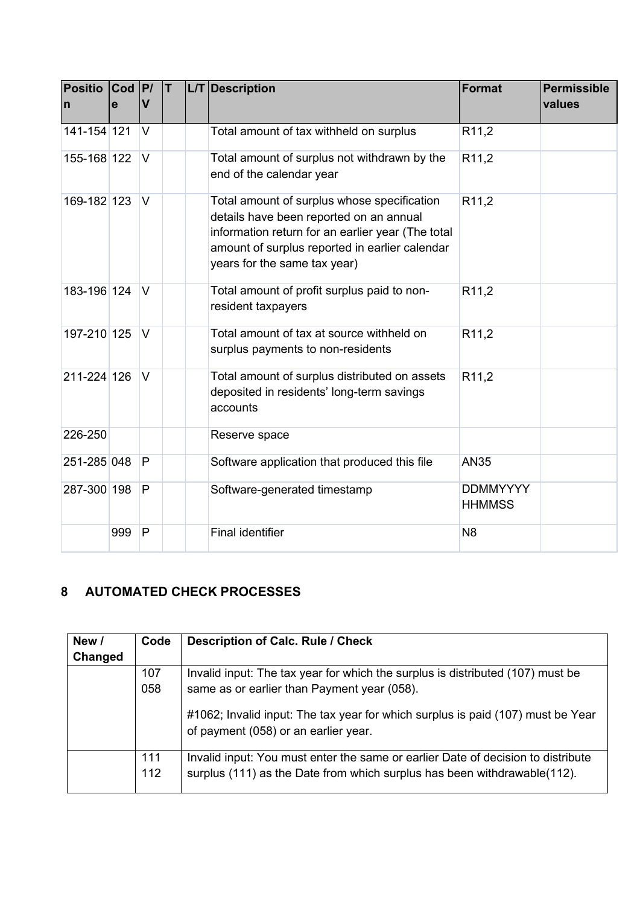| <b>Positio</b><br>$\mathsf{n}$ | <b>Cod</b><br>e | P <br>V        | IT. | L/T Description                                                                                                                                                                                                               | <b>Format</b>                    | <b>Permissible</b><br>values |
|--------------------------------|-----------------|----------------|-----|-------------------------------------------------------------------------------------------------------------------------------------------------------------------------------------------------------------------------------|----------------------------------|------------------------------|
| 141-154 121                    |                 | V              |     | Total amount of tax withheld on surplus                                                                                                                                                                                       | R <sub>11,2</sub>                |                              |
| 155-168 122                    |                 | $\vee$         |     | Total amount of surplus not withdrawn by the<br>end of the calendar year                                                                                                                                                      | R <sub>11,2</sub>                |                              |
| 169-182 123                    |                 | V              |     | Total amount of surplus whose specification<br>details have been reported on an annual<br>information return for an earlier year (The total<br>amount of surplus reported in earlier calendar<br>years for the same tax year) | R <sub>11,2</sub>                |                              |
| 183-196 124                    |                 | $\vee$         |     | Total amount of profit surplus paid to non-<br>resident taxpayers                                                                                                                                                             | R <sub>11,2</sub>                |                              |
| 197-210 125                    |                 | $\vee$         |     | Total amount of tax at source withheld on<br>surplus payments to non-residents                                                                                                                                                | R <sub>11,2</sub>                |                              |
| 211-224 126                    |                 | $\overline{V}$ |     | Total amount of surplus distributed on assets<br>deposited in residents' long-term savings<br>accounts                                                                                                                        | R <sub>11,2</sub>                |                              |
| 226-250                        |                 |                |     | Reserve space                                                                                                                                                                                                                 |                                  |                              |
| 251-285 048                    |                 | P              |     | Software application that produced this file                                                                                                                                                                                  | <b>AN35</b>                      |                              |
| 287-300 198                    |                 | P              |     | Software-generated timestamp                                                                                                                                                                                                  | <b>DDMMYYYY</b><br><b>HHMMSS</b> |                              |
|                                | 999             | P              |     | <b>Final identifier</b>                                                                                                                                                                                                       | N <sub>8</sub>                   |                              |

## <span id="page-4-0"></span>**8 AUTOMATED CHECK PROCESSES**

| New /   | Code       | <b>Description of Calc. Rule / Check</b>                                                                                                                     |
|---------|------------|--------------------------------------------------------------------------------------------------------------------------------------------------------------|
| Changed |            |                                                                                                                                                              |
|         | 107        | Invalid input: The tax year for which the surplus is distributed (107) must be                                                                               |
|         | 058        | same as or earlier than Payment year (058).                                                                                                                  |
|         |            | #1062; Invalid input: The tax year for which surplus is paid (107) must be Year<br>of payment (058) or an earlier year.                                      |
|         | 111<br>112 | Invalid input: You must enter the same or earlier Date of decision to distribute<br>surplus (111) as the Date from which surplus has been withdrawable(112). |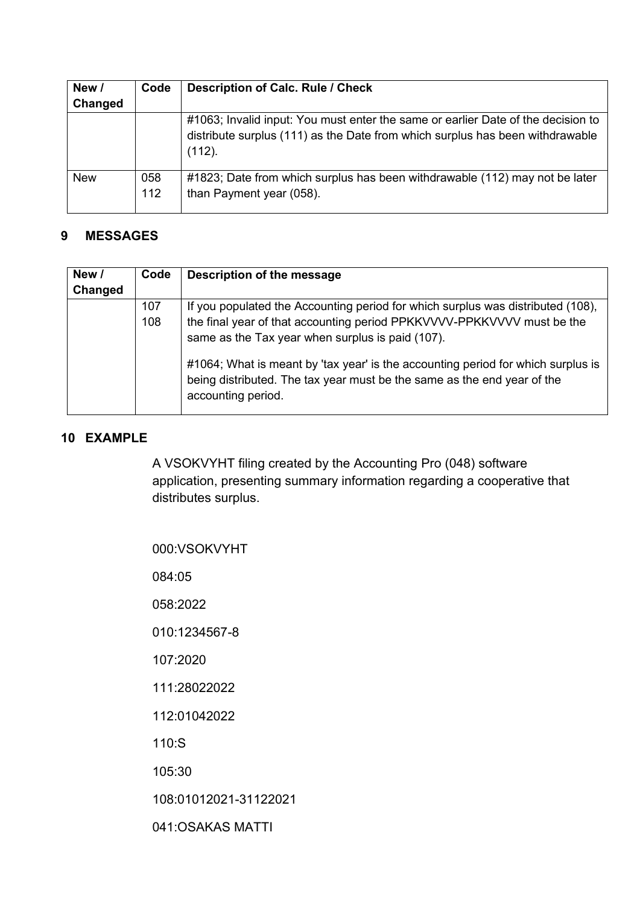| New /      | Code       | <b>Description of Calc. Rule / Check</b>                                                                                                                                    |
|------------|------------|-----------------------------------------------------------------------------------------------------------------------------------------------------------------------------|
| Changed    |            |                                                                                                                                                                             |
|            |            | #1063; Invalid input: You must enter the same or earlier Date of the decision to<br>distribute surplus (111) as the Date from which surplus has been withdrawable<br>(112). |
| <b>New</b> | 058<br>112 | #1823; Date from which surplus has been withdrawable (112) may not be later<br>than Payment year (058).                                                                     |

### <span id="page-5-0"></span>**9 MESSAGES**

| New /   | Code | Description of the message                                                                                                                                                        |
|---------|------|-----------------------------------------------------------------------------------------------------------------------------------------------------------------------------------|
| Changed |      |                                                                                                                                                                                   |
|         | 107  | If you populated the Accounting period for which surplus was distributed (108),                                                                                                   |
|         | 108  | the final year of that accounting period PPKKVVVV-PPKKVVVV must be the<br>same as the Tax year when surplus is paid (107).                                                        |
|         |      | #1064; What is meant by 'tax year' is the accounting period for which surplus is<br>being distributed. The tax year must be the same as the end year of the<br>accounting period. |

#### <span id="page-5-1"></span>**10 EXAMPLE**

A VSOKVYHT filing created by the Accounting Pro (048) software application, presenting summary information regarding a cooperative that distributes surplus.

| 000:VSOKVYHT          |
|-----------------------|
| 084:05                |
| 058:2022              |
| 010:1234567-8         |
| 107:2020              |
| 111:28022022          |
| 112:01042022          |
| 110:S                 |
| 105:30                |
| 108:01012021-31122021 |
| 041:OSAKAS MATTI      |
|                       |